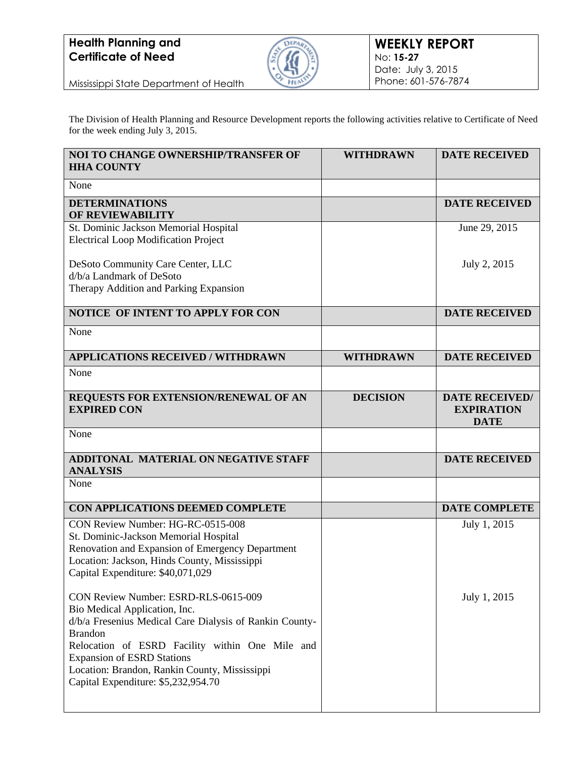

Mississippi State Department of Health

The Division of Health Planning and Resource Development reports the following activities relative to Certificate of Need for the week ending July 3, 2015.

| NOI TO CHANGE OWNERSHIP/TRANSFER OF<br><b>HHA COUNTY</b>                                                                                                                                                                                                                                                                           | <b>WITHDRAWN</b> | <b>DATE RECEIVED</b>                                      |
|------------------------------------------------------------------------------------------------------------------------------------------------------------------------------------------------------------------------------------------------------------------------------------------------------------------------------------|------------------|-----------------------------------------------------------|
| None                                                                                                                                                                                                                                                                                                                               |                  |                                                           |
| <b>DETERMINATIONS</b><br>OF REVIEWABILITY                                                                                                                                                                                                                                                                                          |                  | <b>DATE RECEIVED</b>                                      |
| St. Dominic Jackson Memorial Hospital<br><b>Electrical Loop Modification Project</b>                                                                                                                                                                                                                                               |                  | June 29, 2015                                             |
| DeSoto Community Care Center, LLC<br>d/b/a Landmark of DeSoto<br>Therapy Addition and Parking Expansion                                                                                                                                                                                                                            |                  | July 2, 2015                                              |
| NOTICE OF INTENT TO APPLY FOR CON                                                                                                                                                                                                                                                                                                  |                  | <b>DATE RECEIVED</b>                                      |
| None                                                                                                                                                                                                                                                                                                                               |                  |                                                           |
| <b>APPLICATIONS RECEIVED / WITHDRAWN</b>                                                                                                                                                                                                                                                                                           | <b>WITHDRAWN</b> | <b>DATE RECEIVED</b>                                      |
| None                                                                                                                                                                                                                                                                                                                               |                  |                                                           |
| REQUESTS FOR EXTENSION/RENEWAL OF AN<br><b>EXPIRED CON</b>                                                                                                                                                                                                                                                                         | <b>DECISION</b>  | <b>DATE RECEIVED/</b><br><b>EXPIRATION</b><br><b>DATE</b> |
| None                                                                                                                                                                                                                                                                                                                               |                  |                                                           |
| ADDITONAL MATERIAL ON NEGATIVE STAFF<br><b>ANALYSIS</b>                                                                                                                                                                                                                                                                            |                  | <b>DATE RECEIVED</b>                                      |
| None                                                                                                                                                                                                                                                                                                                               |                  |                                                           |
| CON APPLICATIONS DEEMED COMPLETE                                                                                                                                                                                                                                                                                                   |                  | <b>DATE COMPLETE</b>                                      |
| CON Review Number: HG-RC-0515-008<br>St. Dominic-Jackson Memorial Hospital<br>Renovation and Expansion of Emergency Department<br>Location: Jackson, Hinds County, Mississippi<br>Capital Expenditure: \$40,071,029                                                                                                                |                  | July 1, 2015                                              |
| CON Review Number: ESRD-RLS-0615-009<br>Bio Medical Application, Inc.<br>d/b/a Fresenius Medical Care Dialysis of Rankin County-<br><b>Brandon</b><br>Relocation of ESRD Facility within One Mile and<br><b>Expansion of ESRD Stations</b><br>Location: Brandon, Rankin County, Mississippi<br>Capital Expenditure: \$5,232,954.70 |                  | July 1, 2015                                              |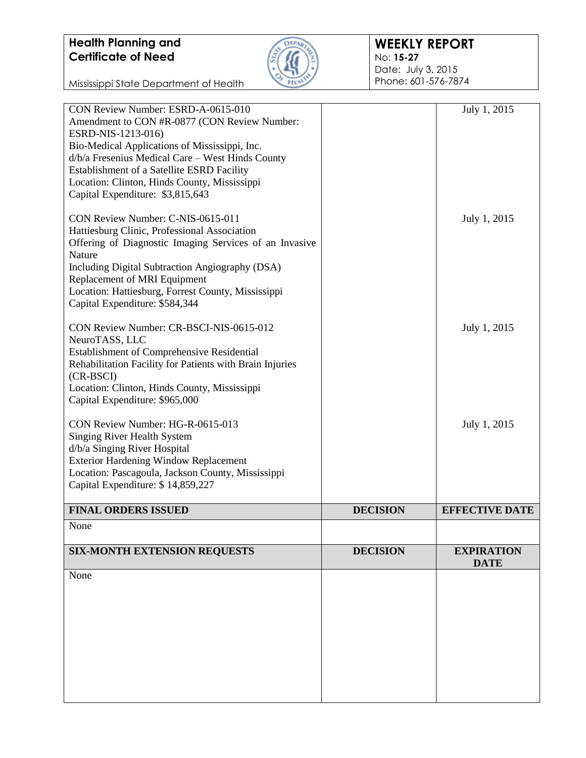

### **WEEKLY REPORT** No: **15-27** Date: July 3, 2015

Phone: 601-576-7874

| CON Review Number: ESRD-A-0615-010<br>Amendment to CON #R-0877 (CON Review Number:<br>ESRD-NIS-1213-016)<br>Bio-Medical Applications of Mississippi, Inc.<br>d/b/a Fresenius Medical Care - West Hinds County<br>Establishment of a Satellite ESRD Facility<br>Location: Clinton, Hinds County, Mississippi<br>Capital Expenditure: \$3,815,643<br>CON Review Number: C-NIS-0615-011<br>Hattiesburg Clinic, Professional Association<br>Offering of Diagnostic Imaging Services of an Invasive<br>Nature<br>Including Digital Subtraction Angiography (DSA)<br>Replacement of MRI Equipment<br>Location: Hattiesburg, Forrest County, Mississippi<br>Capital Expenditure: \$584,344 |                 | July 1, 2015<br>July 1, 2015     |
|-------------------------------------------------------------------------------------------------------------------------------------------------------------------------------------------------------------------------------------------------------------------------------------------------------------------------------------------------------------------------------------------------------------------------------------------------------------------------------------------------------------------------------------------------------------------------------------------------------------------------------------------------------------------------------------|-----------------|----------------------------------|
| CON Review Number: CR-BSCI-NIS-0615-012<br>NeuroTASS, LLC<br>Establishment of Comprehensive Residential<br>Rehabilitation Facility for Patients with Brain Injuries<br>(CR-BSCI)<br>Location: Clinton, Hinds County, Mississippi<br>Capital Expenditure: \$965,000                                                                                                                                                                                                                                                                                                                                                                                                                  |                 | July 1, 2015                     |
| CON Review Number: HG-R-0615-013<br>Singing River Health System<br>d/b/a Singing River Hospital<br><b>Exterior Hardening Window Replacement</b><br>Location: Pascagoula, Jackson County, Mississippi<br>Capital Expenditure: \$14,859,227                                                                                                                                                                                                                                                                                                                                                                                                                                           |                 | July 1, 2015                     |
| <b>FINAL ORDERS ISSUED</b>                                                                                                                                                                                                                                                                                                                                                                                                                                                                                                                                                                                                                                                          | <b>DECISION</b> | <b>EFFECTIVE DATE</b>            |
| None                                                                                                                                                                                                                                                                                                                                                                                                                                                                                                                                                                                                                                                                                |                 |                                  |
| <b>SIX-MONTH EXTENSION REQUESTS</b>                                                                                                                                                                                                                                                                                                                                                                                                                                                                                                                                                                                                                                                 | <b>DECISION</b> | <b>EXPIRATION</b><br><b>DATE</b> |
| None                                                                                                                                                                                                                                                                                                                                                                                                                                                                                                                                                                                                                                                                                |                 |                                  |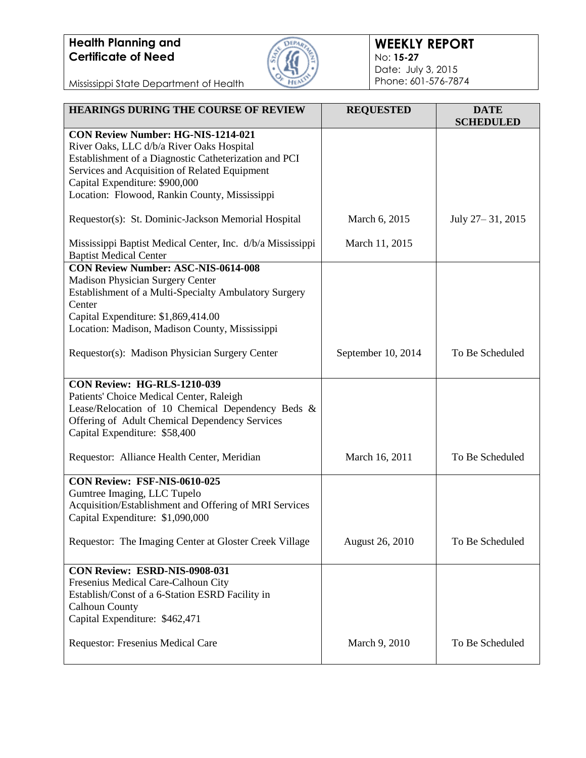

### **WEEKLY REPORT** No: **15-27** Date: July 3, 2015 Phone: 601-576-7874

| HEARINGS DURING THE COURSE OF REVIEW                                                        | <b>REQUESTED</b>   | <b>DATE</b><br><b>SCHEDULED</b> |
|---------------------------------------------------------------------------------------------|--------------------|---------------------------------|
| <b>CON Review Number: HG-NIS-1214-021</b><br>River Oaks, LLC d/b/a River Oaks Hospital      |                    |                                 |
| Establishment of a Diagnostic Catheterization and PCI                                       |                    |                                 |
| Services and Acquisition of Related Equipment                                               |                    |                                 |
| Capital Expenditure: \$900,000                                                              |                    |                                 |
| Location: Flowood, Rankin County, Mississippi                                               |                    |                                 |
| Requestor(s): St. Dominic-Jackson Memorial Hospital                                         | March 6, 2015      | July 27 – 31, 2015              |
| Mississippi Baptist Medical Center, Inc. d/b/a Mississippi<br><b>Baptist Medical Center</b> | March 11, 2015     |                                 |
| <b>CON Review Number: ASC-NIS-0614-008</b>                                                  |                    |                                 |
| <b>Madison Physician Surgery Center</b>                                                     |                    |                                 |
| Establishment of a Multi-Specialty Ambulatory Surgery<br>Center                             |                    |                                 |
| Capital Expenditure: \$1,869,414.00                                                         |                    |                                 |
| Location: Madison, Madison County, Mississippi                                              |                    |                                 |
| Requestor(s): Madison Physician Surgery Center                                              | September 10, 2014 | To Be Scheduled                 |
| CON Review: HG-RLS-1210-039                                                                 |                    |                                 |
| Patients' Choice Medical Center, Raleigh                                                    |                    |                                 |
| Lease/Relocation of 10 Chemical Dependency Beds &                                           |                    |                                 |
| Offering of Adult Chemical Dependency Services<br>Capital Expenditure: \$58,400             |                    |                                 |
| Requestor: Alliance Health Center, Meridian                                                 | March 16, 2011     | To Be Scheduled                 |
| CON Review: FSF-NIS-0610-025                                                                |                    |                                 |
| Gumtree Imaging, LLC Tupelo<br>Acquisition/Establishment and Offering of MRI Services       |                    |                                 |
| Capital Expenditure: \$1,090,000                                                            |                    |                                 |
|                                                                                             |                    |                                 |
| Requestor: The Imaging Center at Gloster Creek Village                                      | August 26, 2010    | To Be Scheduled                 |
|                                                                                             |                    |                                 |
| CON Review: ESRD-NIS-0908-031<br>Fresenius Medical Care-Calhoun City                        |                    |                                 |
| Establish/Const of a 6-Station ESRD Facility in                                             |                    |                                 |
| <b>Calhoun County</b>                                                                       |                    |                                 |
| Capital Expenditure: \$462,471                                                              |                    |                                 |
| Requestor: Fresenius Medical Care                                                           | March 9, 2010      | To Be Scheduled                 |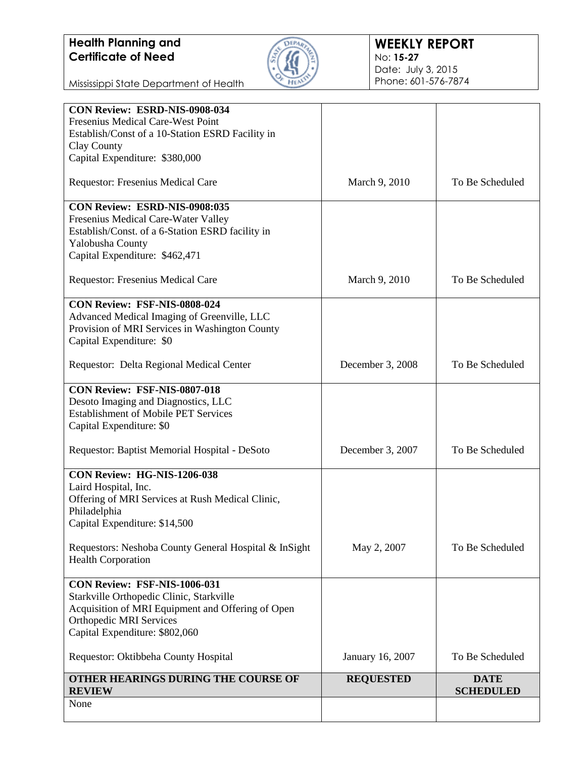

| CON Review: ESRD-NIS-0908-034                         |                  |                 |
|-------------------------------------------------------|------------------|-----------------|
| Fresenius Medical Care-West Point                     |                  |                 |
| Establish/Const of a 10-Station ESRD Facility in      |                  |                 |
| Clay County                                           |                  |                 |
| Capital Expenditure: \$380,000                        |                  |                 |
| Requestor: Fresenius Medical Care                     | March 9, 2010    | To Be Scheduled |
| CON Review: ESRD-NIS-0908:035                         |                  |                 |
| Fresenius Medical Care-Water Valley                   |                  |                 |
| Establish/Const. of a 6-Station ESRD facility in      |                  |                 |
| Yalobusha County                                      |                  |                 |
| Capital Expenditure: \$462,471                        |                  |                 |
| Requestor: Fresenius Medical Care                     | March 9, 2010    | To Be Scheduled |
| CON Review: FSF-NIS-0808-024                          |                  |                 |
| Advanced Medical Imaging of Greenville, LLC           |                  |                 |
| Provision of MRI Services in Washington County        |                  |                 |
| Capital Expenditure: \$0                              |                  |                 |
|                                                       |                  |                 |
| Requestor: Delta Regional Medical Center              | December 3, 2008 | To Be Scheduled |
| CON Review: FSF-NIS-0807-018                          |                  |                 |
| Desoto Imaging and Diagnostics, LLC                   |                  |                 |
| <b>Establishment of Mobile PET Services</b>           |                  |                 |
| Capital Expenditure: \$0                              |                  |                 |
| Requestor: Baptist Memorial Hospital - DeSoto         | December 3, 2007 | To Be Scheduled |
| CON Review: HG-NIS-1206-038                           |                  |                 |
| Laird Hospital, Inc.                                  |                  |                 |
| Offering of MRI Services at Rush Medical Clinic,      |                  |                 |
| Philadelphia                                          |                  |                 |
| Capital Expenditure: \$14,500                         |                  |                 |
| Requestors: Neshoba County General Hospital & InSight | May 2, 2007      | To Be Scheduled |
| <b>Health Corporation</b>                             |                  |                 |
| <b>CON Review: FSF-NIS-1006-031</b>                   |                  |                 |
| Starkville Orthopedic Clinic, Starkville              |                  |                 |
| Acquisition of MRI Equipment and Offering of Open     |                  |                 |
| <b>Orthopedic MRI Services</b>                        |                  |                 |
| Capital Expenditure: \$802,060                        |                  |                 |
| Requestor: Oktibbeha County Hospital                  | January 16, 2007 | To Be Scheduled |
| OTHER HEARINGS DURING THE COURSE OF                   | <b>REQUESTED</b> | <b>DATE</b>     |